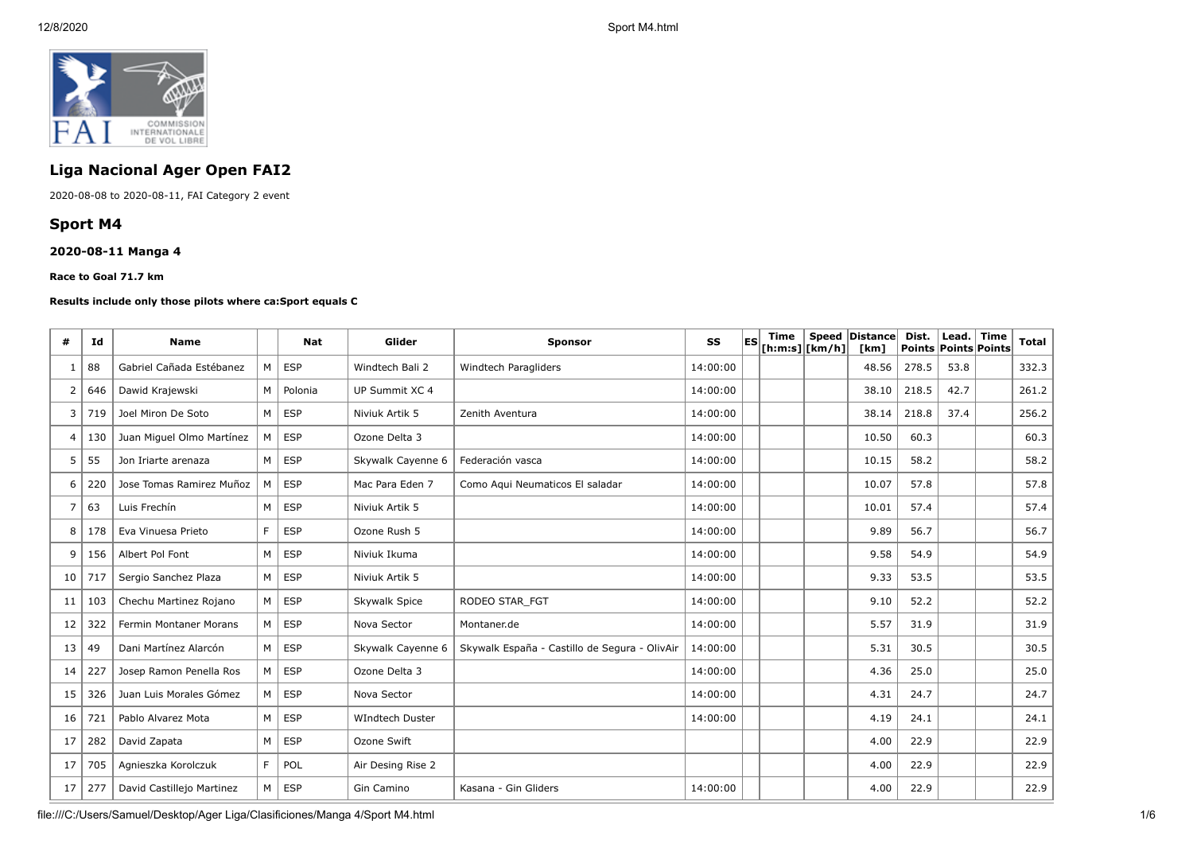

# **Liga Nacional Ager Open FAI2**

2020-08-08 to 2020-08-11, FAI Category 2 event

## **Sport M4**

## **2020-08-11 Manga 4**

**Race to Goal 71.7 km**

#### **Results include only those pilots where ca:Sport equals C**

| #                        | Id  | <b>Name</b>               |                | <b>Nat</b> | Glider                 | <b>Sponsor</b>                                | SS       | <b>IES</b> | Time<br>$[$ h:m:s] $ $ [km/h] $ $ | Speed Distance<br>[km] | Dist.<br>Points Points Points | Lead. | Time | <b>Total</b> |
|--------------------------|-----|---------------------------|----------------|------------|------------------------|-----------------------------------------------|----------|------------|-----------------------------------|------------------------|-------------------------------|-------|------|--------------|
| -1                       | 88  | Gabriel Cañada Estébanez  | M <sub>1</sub> | ESP        | Windtech Bali 2        | Windtech Paragliders                          | 14:00:00 |            |                                   | 48.56                  | 278.5                         | 53.8  |      | 332.3        |
| $\overline{2}$           | 646 | Dawid Krajewski           | M <sub>1</sub> | Polonia    | UP Summit XC 4         |                                               | 14:00:00 |            |                                   | 38.10                  | 218.5                         | 42.7  |      | 261.2        |
| 3                        | 719 | Joel Miron De Soto        | $M \mid$       | ESP        | Niviuk Artik 5         | Zenith Aventura                               | 14:00:00 |            |                                   | 38.14                  | 218.8                         | 37.4  |      | 256.2        |
| $\overline{\mathcal{A}}$ | 130 | Juan Miguel Olmo Martínez | M <sub>1</sub> | ESP        | Ozone Delta 3          |                                               | 14:00:00 |            |                                   | 10.50                  | 60.3                          |       |      | 60.3         |
| 5                        | 55  | Jon Iriarte arenaza       | M              | <b>ESP</b> | Skywalk Cayenne 6      | Federación vasca                              | 14:00:00 |            |                                   | 10.15                  | 58.2                          |       |      | 58.2         |
| 6                        | 220 | Jose Tomas Ramirez Muñoz  | М              | <b>ESP</b> | Mac Para Eden 7        | Como Agui Neumaticos El saladar               | 14:00:00 |            |                                   | 10.07                  | 57.8                          |       |      | 57.8         |
| 7                        | 63  | Luis Frechín              | M              | <b>ESP</b> | Niviuk Artik 5         |                                               | 14:00:00 |            |                                   | 10.01                  | 57.4                          |       |      | 57.4         |
| 8                        | 178 | Eva Vinuesa Prieto        | F.             | <b>ESP</b> | Ozone Rush 5           |                                               | 14:00:00 |            |                                   | 9.89                   | 56.7                          |       |      | 56.7         |
| 9                        | 156 | Albert Pol Font           | M <sub>1</sub> | <b>ESP</b> | Niviuk Ikuma           |                                               | 14:00:00 |            |                                   | 9.58                   | 54.9                          |       |      | 54.9         |
| 10                       | 717 | Sergio Sanchez Plaza      | $M \mid$       | <b>ESP</b> | Niviuk Artik 5         |                                               | 14:00:00 |            |                                   | 9.33                   | 53.5                          |       |      | 53.5         |
| 11                       | 103 | Chechu Martinez Rojano    | M <sub>1</sub> | ESP        | Skywalk Spice          | RODEO STAR FGT                                | 14:00:00 |            |                                   | 9.10                   | 52.2                          |       |      | 52.2         |
| 12                       | 322 | Fermin Montaner Morans    | M              | <b>ESP</b> | Nova Sector            | Montaner.de                                   | 14:00:00 |            |                                   | 5.57                   | 31.9                          |       |      | 31.9         |
| 13                       | 49  | Dani Martínez Alarcón     | M <sub>1</sub> | <b>ESP</b> | Skywalk Cayenne 6      | Skywalk España - Castillo de Segura - OlivAir | 14:00:00 |            |                                   | 5.31                   | 30.5                          |       |      | 30.5         |
| 14                       | 227 | Josep Ramon Penella Ros   | M <sub>1</sub> | ESP        | Ozone Delta 3          |                                               | 14:00:00 |            |                                   | 4.36                   | 25.0                          |       |      | 25.0         |
| 15                       | 326 | Juan Luis Morales Gómez   | M              | <b>ESP</b> | Nova Sector            |                                               | 14:00:00 |            |                                   | 4.31                   | 24.7                          |       |      | 24.7         |
| 16                       | 721 | Pablo Alvarez Mota        | $M \mid$       | ESP        | <b>WIndtech Duster</b> |                                               | 14:00:00 |            |                                   | 4.19                   | 24.1                          |       |      | 24.1         |
| 17                       | 282 | David Zapata              | M              | <b>ESP</b> | Ozone Swift            |                                               |          |            |                                   | 4.00                   | 22.9                          |       |      | 22.9         |
| 17                       | 705 | Agnieszka Korolczuk       | F.             | POL        | Air Desing Rise 2      |                                               |          |            |                                   | 4.00                   | 22.9                          |       |      | 22.9         |
| 17                       | 277 | David Castillejo Martinez | M              | ESP        | Gin Camino             | Kasana - Gin Gliders                          | 14:00:00 |            |                                   | 4.00                   | 22.9                          |       |      | 22.9         |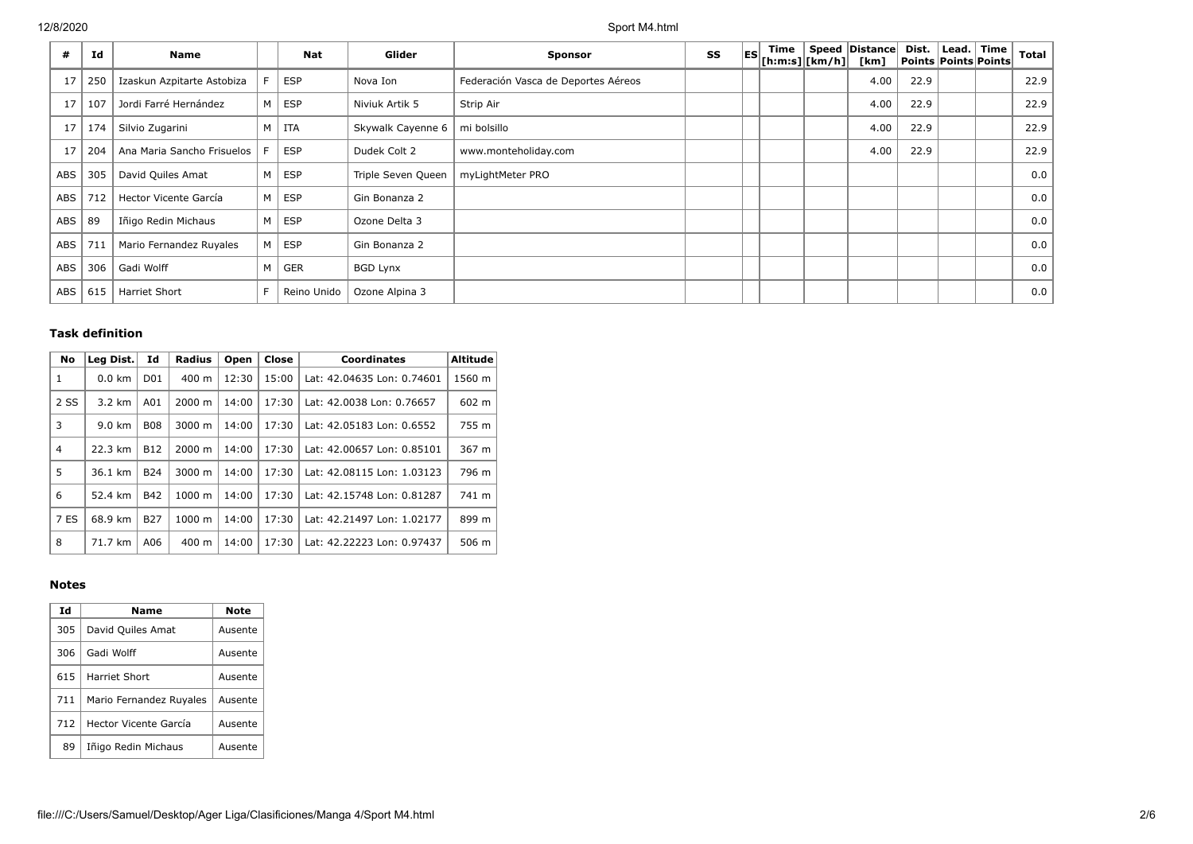| #   | Id  | Name                       |   | <b>Nat</b>  | Glider             | <b>Sponsor</b>                      | SS | <b>IES</b> | Time<br>$[$ h:m:s] $ $ [km/h] $ $ | Speed   Distance  <br>[km] | Dist.<br>Points Points Points | Lead. | Time | <b>Total</b> |
|-----|-----|----------------------------|---|-------------|--------------------|-------------------------------------|----|------------|-----------------------------------|----------------------------|-------------------------------|-------|------|--------------|
| 17  | 250 | Izaskun Azpitarte Astobiza |   | <b>ESP</b>  | Nova Ion           | Federación Vasca de Deportes Aéreos |    |            |                                   | 4.00                       | 22.9                          |       |      | 22.9         |
| 17  | 107 | Jordi Farré Hernández      | M | ESP         | Niviuk Artik 5     | Strip Air                           |    |            |                                   | 4.00                       | 22.9                          |       |      | 22.9         |
| 17  | 174 | Silvio Zugarini            | M | ITA         | Skywalk Cayenne 6  | mi bolsillo                         |    |            |                                   | 4.00                       | 22.9                          |       |      | 22.9         |
| 17  | 204 | Ana Maria Sancho Frisuelos |   | <b>ESP</b>  | Dudek Colt 2       | www.monteholiday.com                |    |            |                                   | 4.00                       | 22.9                          |       |      | 22.9         |
| ABS | 305 | David Quiles Amat          | M | ESP         | Triple Seven Queen | myLightMeter PRO                    |    |            |                                   |                            |                               |       |      | 0.0          |
| ABS | 712 | Hector Vicente García      | M | <b>ESP</b>  | Gin Bonanza 2      |                                     |    |            |                                   |                            |                               |       |      | 0.0          |
| ABS | 89  | Iñigo Redin Michaus        | M | ESP         | Ozone Delta 3      |                                     |    |            |                                   |                            |                               |       |      | 0.0          |
| ABS | 711 | Mario Fernandez Ruyales    | M | ESP         | Gin Bonanza 2      |                                     |    |            |                                   |                            |                               |       |      | 0.0          |
| ABS | 306 | Gadi Wolff                 | M | <b>GER</b>  | <b>BGD Lynx</b>    |                                     |    |            |                                   |                            |                               |       |      | 0.0          |
| ABS | 615 | Harriet Short              | F | Reino Unido | Ozone Alpina 3     |                                     |    |            |                                   |                            |                               |       |      | 0.0          |

## **Task definition**

| <b>No</b> | Leg Dist.        | Id              | <b>Radius</b>    | Open  | Close | <b>Coordinates</b>         | <b>Altitude</b> |
|-----------|------------------|-----------------|------------------|-------|-------|----------------------------|-----------------|
| 1         | $0.0 \text{ km}$ | D <sub>01</sub> | $400 \text{ m}$  | 12:30 | 15:00 | Lat: 42.04635 Lon: 0.74601 | 1560 m          |
| 2 SS      | $3.2 \text{ km}$ | A01             | 2000 m           | 14:00 | 17:30 | Lat: 42.0038 Lon: 0.76657  | 602 m           |
| 3         | $9.0 \text{ km}$ | <b>B08</b>      | 3000 m           | 14:00 | 17:30 | Lat: 42.05183 Lon: 0.6552  | 755 m           |
| 4         | 22.3 km          | <b>B12</b>      | 2000 m           | 14:00 | 17:30 | Lat: 42.00657 Lon: 0.85101 | 367 m           |
| 5         | 36.1 km          | <b>B24</b>      | 3000 m           | 14:00 | 17:30 | Lat: 42.08115 Lon: 1.03123 | 796 m           |
| 6         | 52.4 km          | <b>B42</b>      | $1000 \;{\rm m}$ | 14:00 | 17:30 | Lat: 42.15748 Lon: 0.81287 | 741 m           |
| 7 ES      | 68.9 km          | <b>B27</b>      | 1000 m           | 14:00 | 17:30 | Lat: 42.21497 Lon: 1.02177 | 899 m           |
| 8         | 71.7 km          | A06             | 400 m            | 14:00 | 17:30 | Lat: 42.22223 Lon: 0.97437 | 506 m           |

## **Notes**

| Id  | Name                    | Note    |
|-----|-------------------------|---------|
| 305 | David Quiles Amat       | Ausente |
| 306 | Gadi Wolff              | Ausente |
| 615 | Harriet Short           | Ausente |
| 711 | Mario Fernandez Ruyales | Ausente |
| 712 | Hector Vicente García   | Ausente |
| 89  | Iñigo Redin Michaus     | Ausente |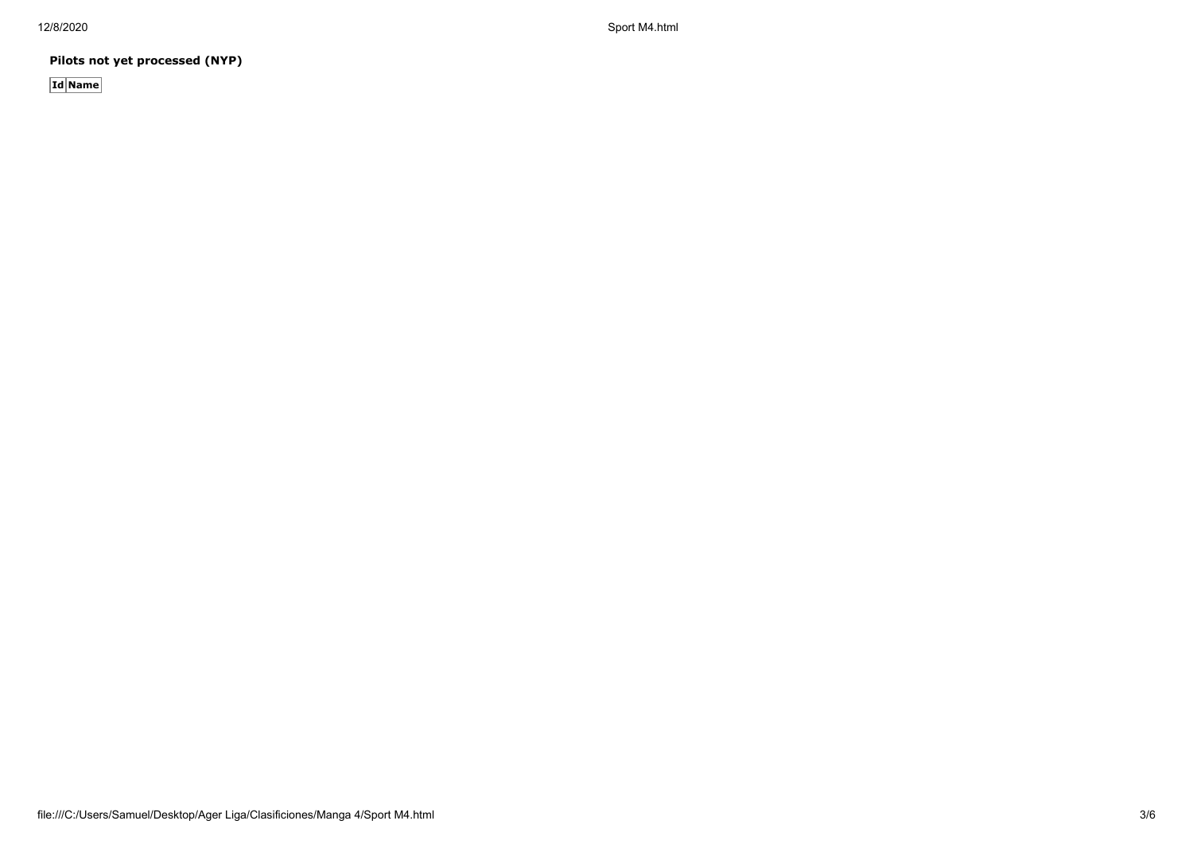12/8/2020 Sport M4.html

**Pilots not yet processed (NYP)**

**Id Name**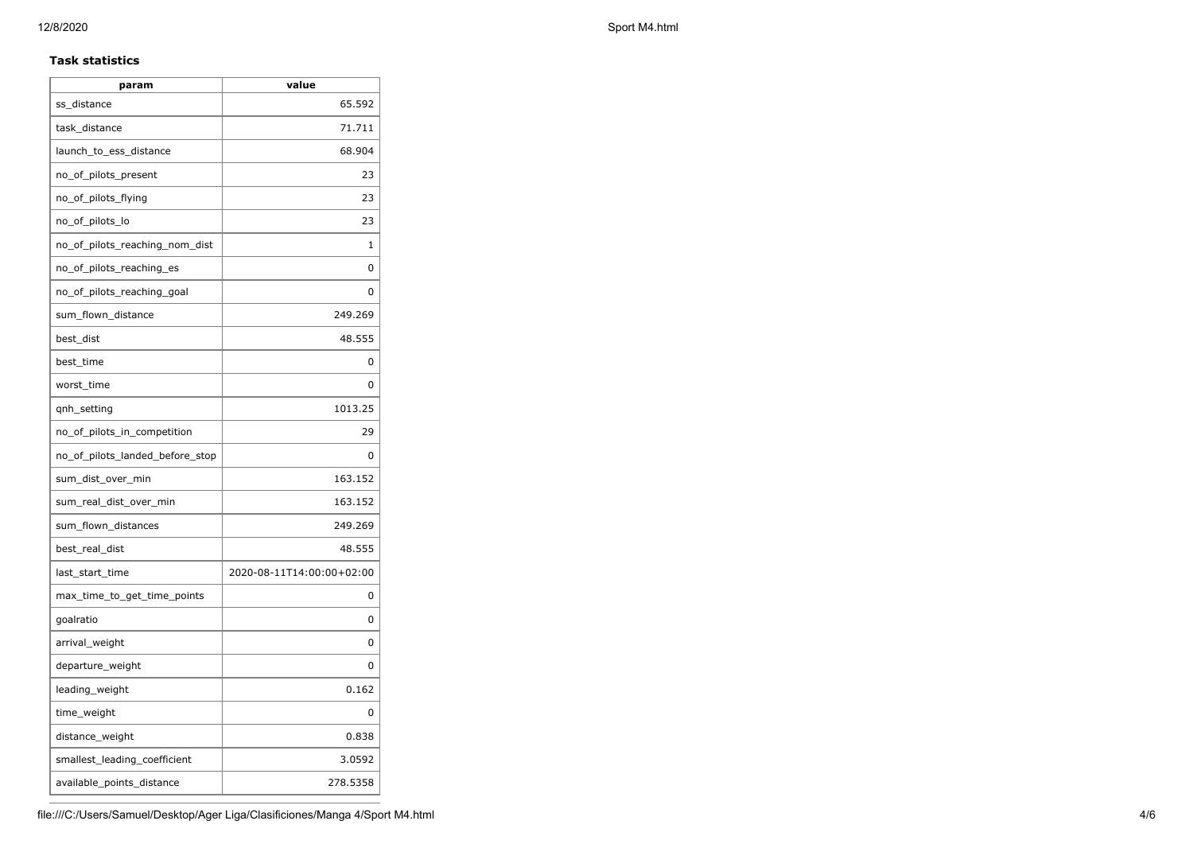### **Task statistics**

| param                           | value                     |
|---------------------------------|---------------------------|
| ss distance                     | 65.592                    |
| task_distance                   | 71.711                    |
| launch_to_ess_distance          | 68.904                    |
| no_of_pilots_present            | 23                        |
| no_of_pilots_flying             | 23                        |
| no_of_pilots_lo                 | 23                        |
| no_of_pilots_reaching_nom_dist  | 1                         |
| no_of_pilots_reaching_es        | 0                         |
| no_of_pilots_reaching_goal      | 0                         |
| sum_flown_distance              | 249.269                   |
| best_dist                       | 48.555                    |
| best_time                       | 0                         |
| worst_time                      | 0                         |
| qnh_setting                     | 1013.25                   |
| no_of_pilots_in_competition     | 29                        |
| no of pilots landed before stop | 0                         |
| sum_dist_over_min               | 163.152                   |
| sum_real_dist_over_min          | 163.152                   |
| sum_flown_distances             | 249.269                   |
| best_real_dist                  | 48.555                    |
| last_start_time                 | 2020-08-11T14:00:00+02:00 |
| max_time_to_get_time_points     | 0                         |
| goalratio                       | 0                         |
| arrival_weight                  | 0                         |
| departure_weight                | 0                         |
| leading_weight                  | 0.162                     |
| time_weight                     | 0                         |
| distance_weight                 | 0.838                     |
| smallest_leading_coefficient    | 3.0592                    |
| available_points_distance       | 278.5358                  |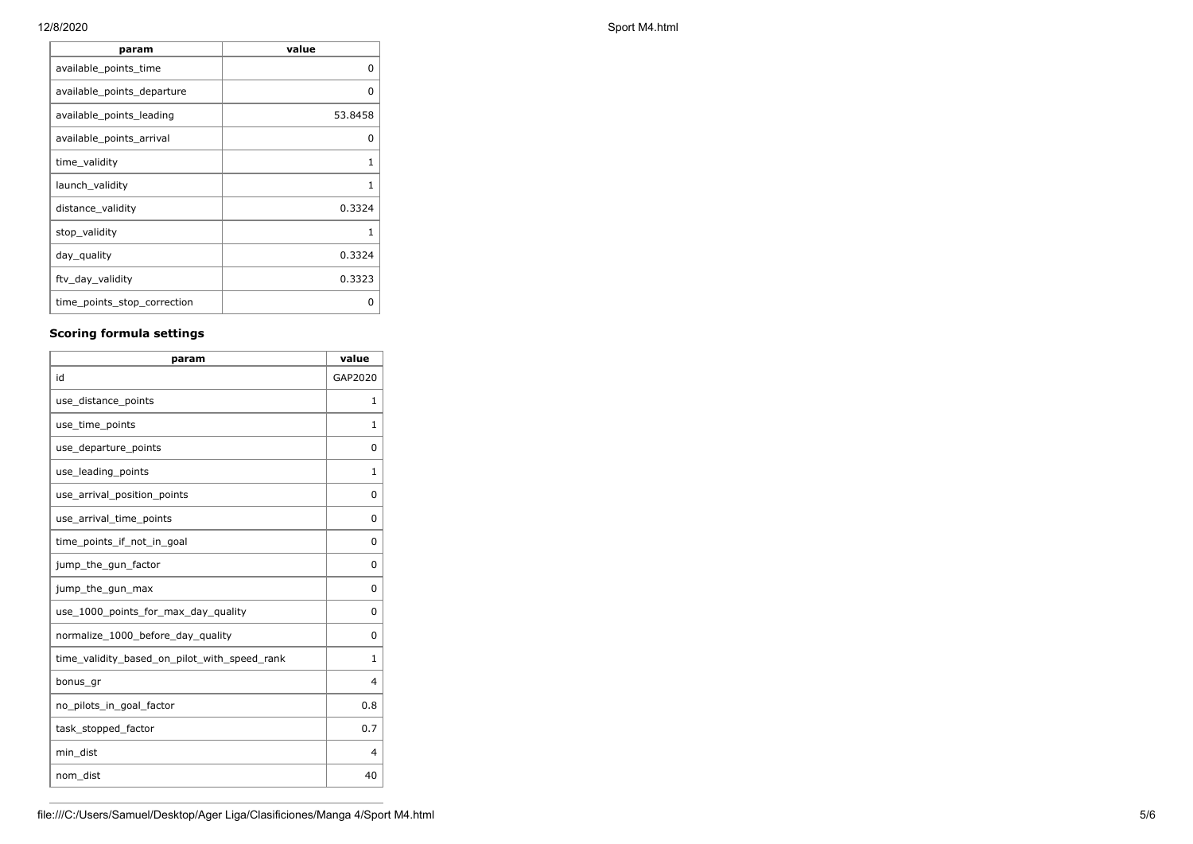**param value** available\_points\_time available of the contract of the contract of the contract of the contract of the contract o available\_points\_departure 0 available\_points\_leading and absolute the state of the state of the state of the state of the state of the sta available\_points\_arrival available of the control of the control of the control of the control of the control o time\_validity 1 launch\_validity 1 distance\_validity and all the control of the control of the control of the control of the control of the control of the control of the control of the control of the control of the control of the control of the control of t stop\_validity 1 day\_quality 0.3324 ftv\_day\_validity 0.3323 time\_points\_stop\_correction | 0

## **Scoring formula settings**

| param                                        | value        |
|----------------------------------------------|--------------|
| id                                           | GAP2020      |
| use_distance_points                          | 1            |
| use_time_points                              | $\mathbf{1}$ |
| use_departure_points                         | 0            |
| use_leading_points                           | 1            |
| use_arrival_position_points                  | 0            |
| use_arrival_time_points                      | 0            |
| time_points_if_not_in_goal                   | 0            |
| jump_the_gun_factor                          | 0            |
| jump_the_gun_max                             | 0            |
| use_1000_points_for_max_day_quality          | 0            |
| normalize_1000_before_day_quality            | 0            |
| time_validity_based_on_pilot_with_speed_rank | 1            |
| bonus_gr                                     | 4            |
| no_pilots_in_goal_factor                     | 0.8          |
| task_stopped_factor                          | 0.7          |
| min dist                                     | 4            |
| nom_dist                                     | 40           |

### 12/8/2020 Sport M4.html